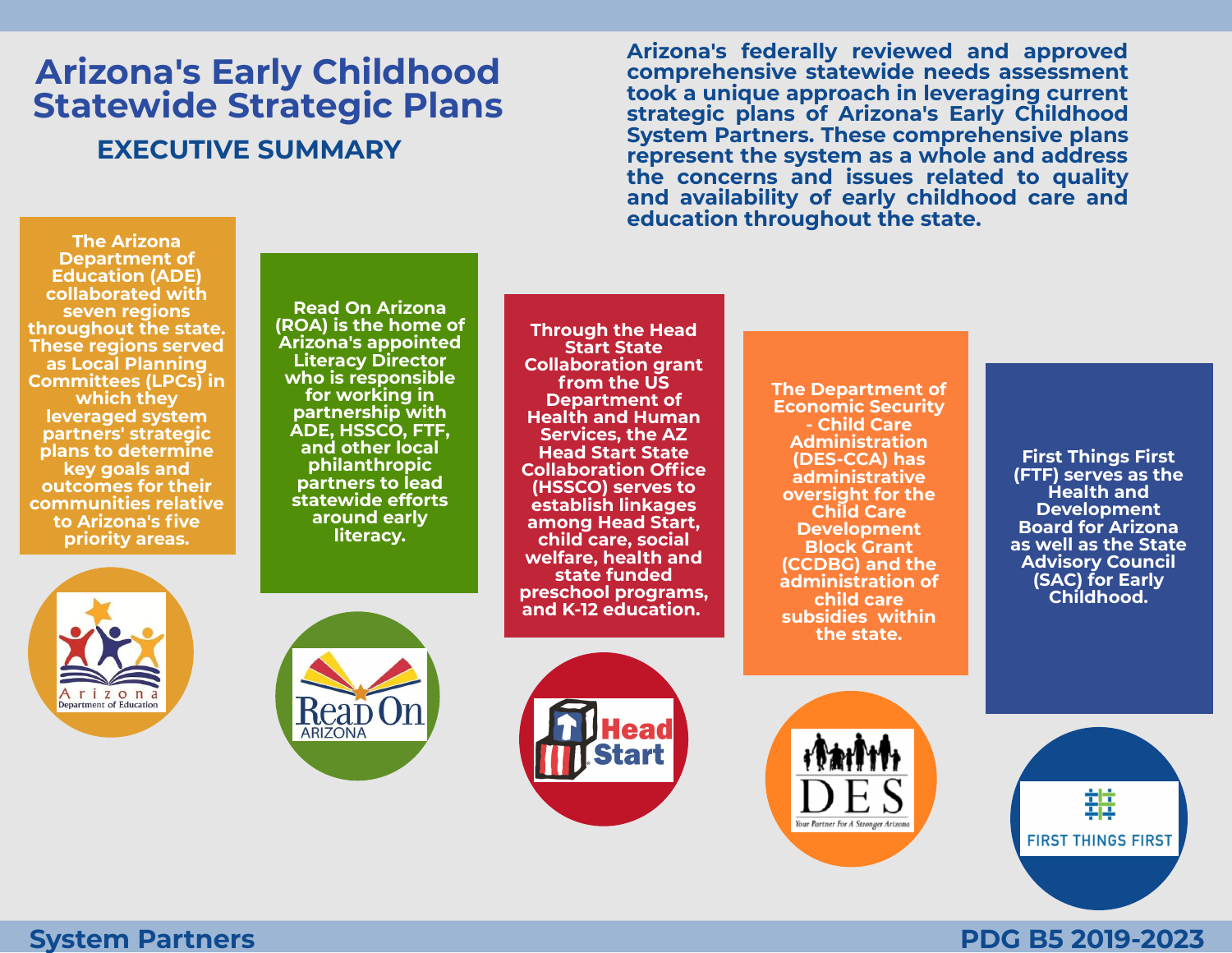## **Arizona's Early Childhood Statewide Strategic Plans EXECUTIVE SUMMARY**

**Arizona's federally reviewed and approved comprehensive statewide needs assessment took a unique approach in leveraging current strategic plans of Arizona's Early Childhood System Partners. These comprehensive plans represent the system as a whole and address the concerns and issues related to quality and availability of early childhood care and education throughout the state.**

**The Arizona Department of Education (ADE) collaborated with seven regions throughout the state. These regions served as Local Planning Committees (LPCs) in which they leveraged system partners' strategic plans to determine key goals and outcomes for their communities relative to Arizona's five priority areas.**

**Read On Arizona (ROA) is the home of Arizona's appointed Literacy Director who is responsible for working in partnership with ADE, HSSCO, FTF, and other local philanthropic partners to lead statewide efforts around early literacy.**

**Through the Head Start State Collaboration grant from the US Department of Health and Human Services, the AZ Head Start State Collaboration Office (HSSCO) serves to establish linkages among Head Start, child care, social welfare, health and state funded preschool programs, and K-12 education.**

**The Department of Economic Security - Child Care Administration (DES-CCA) has administrative oversight for the Child Care Development Block Grant (CCDBG) and the administration of child care subsidies within the state.**

**First Things First (FTF) serves as the Health and Development Board for Arizona as well as the State Advisory Council (SAC) for Early Childhood.**











**PDG B5 2019-2023**

#### **System Partners**